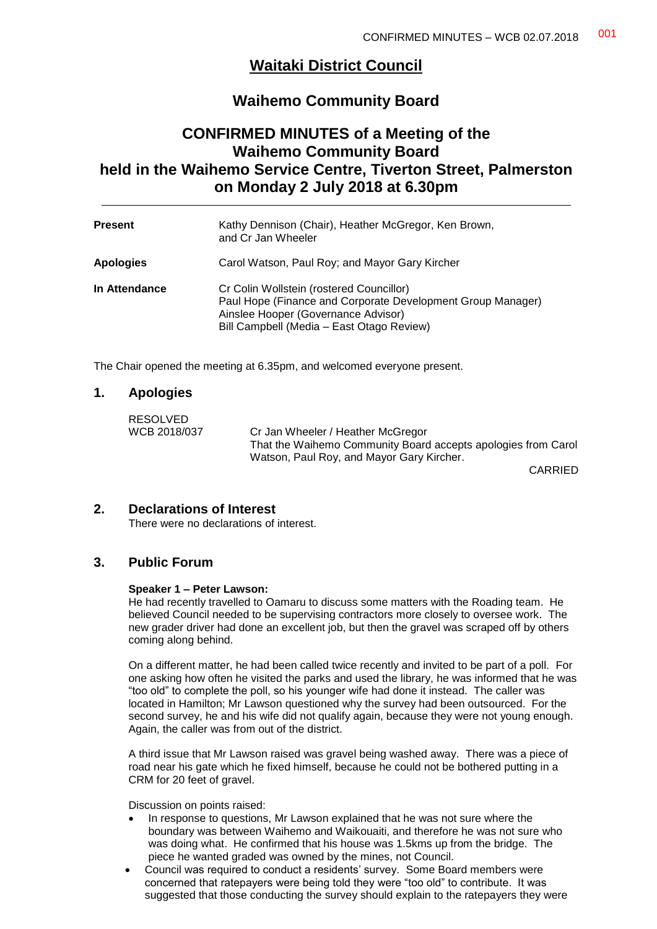# **Waitaki District Council**

## **Waihemo Community Board**

# **CONFIRMED MINUTES of a Meeting of the Waihemo Community Board held in the Waihemo Service Centre, Tiverton Street, Palmerston on Monday 2 July 2018 at 6.30pm**

| <b>Present</b>   | Kathy Dennison (Chair), Heather McGregor, Ken Brown,<br>and Cr Jan Wheeler                                                                                                                  |
|------------------|---------------------------------------------------------------------------------------------------------------------------------------------------------------------------------------------|
| <b>Apologies</b> | Carol Watson, Paul Roy; and Mayor Gary Kircher                                                                                                                                              |
| In Attendance    | Cr Colin Wollstein (rostered Councillor)<br>Paul Hope (Finance and Corporate Development Group Manager)<br>Ainslee Hooper (Governance Advisor)<br>Bill Campbell (Media - East Otago Review) |

The Chair opened the meeting at 6.35pm, and welcomed everyone present.

#### **1. Apologies**

| RESOLVED     |                                                               |
|--------------|---------------------------------------------------------------|
| WCB 2018/037 | Cr Jan Wheeler / Heather McGregor                             |
|              | That the Waihemo Community Board accepts apologies from Carol |
|              | Watson, Paul Roy, and Mayor Gary Kircher.                     |
|              |                                                               |

CARRIED

### **2. Declarations of Interest**

There were no declarations of interest.

## **3. Public Forum**

#### **Speaker 1 – Peter Lawson:**

He had recently travelled to Oamaru to discuss some matters with the Roading team. He believed Council needed to be supervising contractors more closely to oversee work. The new grader driver had done an excellent job, but then the gravel was scraped off by others coming along behind.

On a different matter, he had been called twice recently and invited to be part of a poll. For one asking how often he visited the parks and used the library, he was informed that he was "too old" to complete the poll, so his younger wife had done it instead. The caller was located in Hamilton; Mr Lawson questioned why the survey had been outsourced. For the second survey, he and his wife did not qualify again, because they were not young enough. Again, the caller was from out of the district.

A third issue that Mr Lawson raised was gravel being washed away. There was a piece of road near his gate which he fixed himself, because he could not be bothered putting in a CRM for 20 feet of gravel.

Discussion on points raised:

- In response to questions, Mr Lawson explained that he was not sure where the boundary was between Waihemo and Waikouaiti, and therefore he was not sure who was doing what. He confirmed that his house was 1.5kms up from the bridge. The piece he wanted graded was owned by the mines, not Council.
- Council was required to conduct a residents' survey. Some Board members were concerned that ratepayers were being told they were "too old" to contribute. It was suggested that those conducting the survey should explain to the ratepayers they were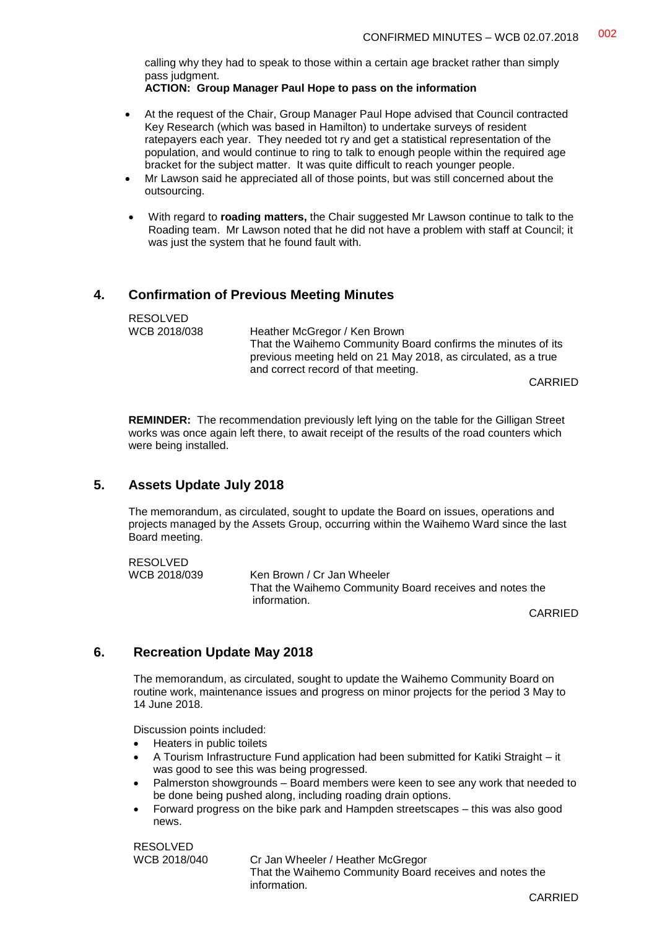calling why they had to speak to those within a certain age bracket rather than simply pass judgment.

**ACTION: Group Manager Paul Hope to pass on the information**

- At the request of the Chair, Group Manager Paul Hope advised that Council contracted Key Research (which was based in Hamilton) to undertake surveys of resident ratepayers each year. They needed tot ry and get a statistical representation of the population, and would continue to ring to talk to enough people within the required age bracket for the subject matter. It was quite difficult to reach younger people.
- Mr Lawson said he appreciated all of those points, but was still concerned about the outsourcing.
- With regard to **roading matters,** the Chair suggested Mr Lawson continue to talk to the Roading team. Mr Lawson noted that he did not have a problem with staff at Council; it was just the system that he found fault with.

### **4. Confirmation of Previous Meeting Minutes**

RESOLVED<br>WCB 2018/038 Heather McGregor / Ken Brown That the Waihemo Community Board confirms the minutes of its previous meeting held on 21 May 2018, as circulated, as a true and correct record of that meeting. CARRIED

**REMINDER:** The recommendation previously left lying on the table for the Gilligan Street works was once again left there, to await receipt of the results of the road counters which were being installed.

### **5. Assets Update July 2018**

RESOLVED

The memorandum, as circulated, sought to update the Board on issues, operations and projects managed by the Assets Group, occurring within the Waihemo Ward since the last Board meeting.

| <b>RESULVED</b> |                                                         |  |
|-----------------|---------------------------------------------------------|--|
| WCB 2018/039    | Ken Brown / Cr Jan Wheeler                              |  |
|                 | That the Waihemo Community Board receives and notes the |  |
|                 | information.                                            |  |

CARRIED

## **6. Recreation Update May 2018**

The memorandum, as circulated, sought to update the Waihemo Community Board on routine work, maintenance issues and progress on minor projects for the period 3 May to 14 June 2018.

Discussion points included:

- Heaters in public toilets
- A Tourism Infrastructure Fund application had been submitted for Katiki Straight it was good to see this was being progressed.
- Palmerston showgrounds Board members were keen to see any work that needed to be done being pushed along, including roading drain options.
- Forward progress on the bike park and Hampden streetscapes this was also good news.

RESOLVED

WCB 2018/040 Cr Jan Wheeler / Heather McGregor That the Waihemo Community Board receives and notes the information.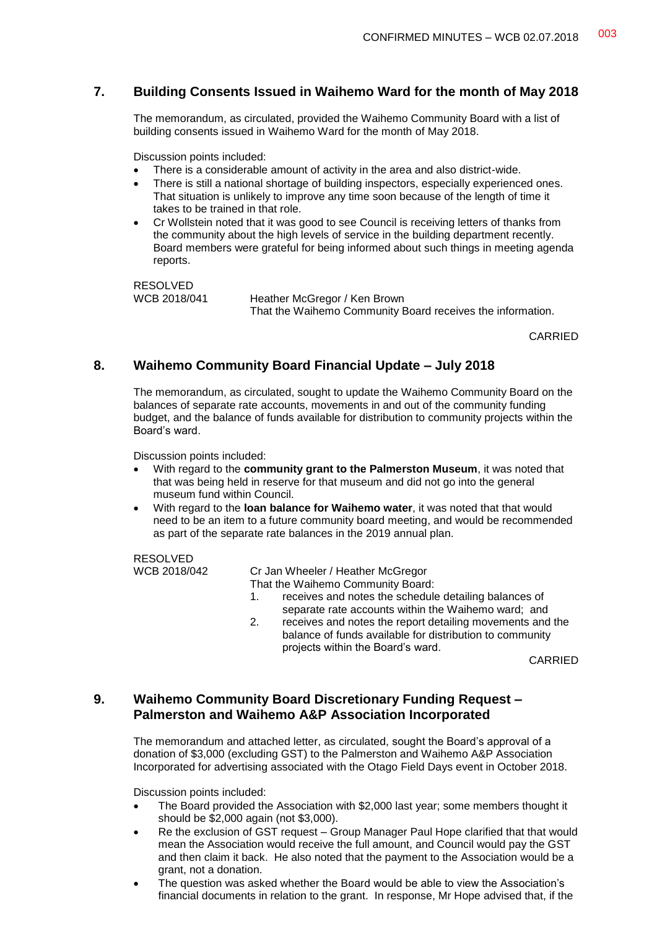## **7. Building Consents Issued in Waihemo Ward for the month of May 2018**

The memorandum, as circulated, provided the Waihemo Community Board with a list of building consents issued in Waihemo Ward for the month of May 2018.

Discussion points included:

- There is a considerable amount of activity in the area and also district-wide.
- There is still a national shortage of building inspectors, especially experienced ones. That situation is unlikely to improve any time soon because of the length of time it takes to be trained in that role.
- Cr Wollstein noted that it was good to see Council is receiving letters of thanks from the community about the high levels of service in the building department recently. Board members were grateful for being informed about such things in meeting agenda reports.

RESOLVED<br>WCB 2018/041

Heather McGregor / Ken Brown That the Waihemo Community Board receives the information.

CARRIED

### **8. Waihemo Community Board Financial Update – July 2018**

The memorandum, as circulated, sought to update the Waihemo Community Board on the balances of separate rate accounts, movements in and out of the community funding budget, and the balance of funds available for distribution to community projects within the Board's ward.

Discussion points included:

- With regard to the **community grant to the Palmerston Museum**, it was noted that that was being held in reserve for that museum and did not go into the general museum fund within Council.
- With regard to the **loan balance for Waihemo water**, it was noted that that would need to be an item to a future community board meeting, and would be recommended as part of the separate rate balances in the 2019 annual plan.

RESOLVED<br>WCB 2018/042

Cr Jan Wheeler / Heather McGregor That the Waihemo Community Board:

- 1. receives and notes the schedule detailing balances of separate rate accounts within the Waihemo ward; and
- 2. receives and notes the report detailing movements and the balance of funds available for distribution to community projects within the Board's ward.

CARRIED

## **9. Waihemo Community Board Discretionary Funding Request – Palmerston and Waihemo A&P Association Incorporated**

The memorandum and attached letter, as circulated, sought the Board's approval of a donation of \$3,000 (excluding GST) to the Palmerston and Waihemo A&P Association Incorporated for advertising associated with the Otago Field Days event in October 2018.

Discussion points included:

- The Board provided the Association with \$2,000 last year; some members thought it should be \$2,000 again (not \$3,000).
- Re the exclusion of GST request Group Manager Paul Hope clarified that that would mean the Association would receive the full amount, and Council would pay the GST and then claim it back. He also noted that the payment to the Association would be a grant, not a donation.
- The question was asked whether the Board would be able to view the Association's financial documents in relation to the grant. In response, Mr Hope advised that, if the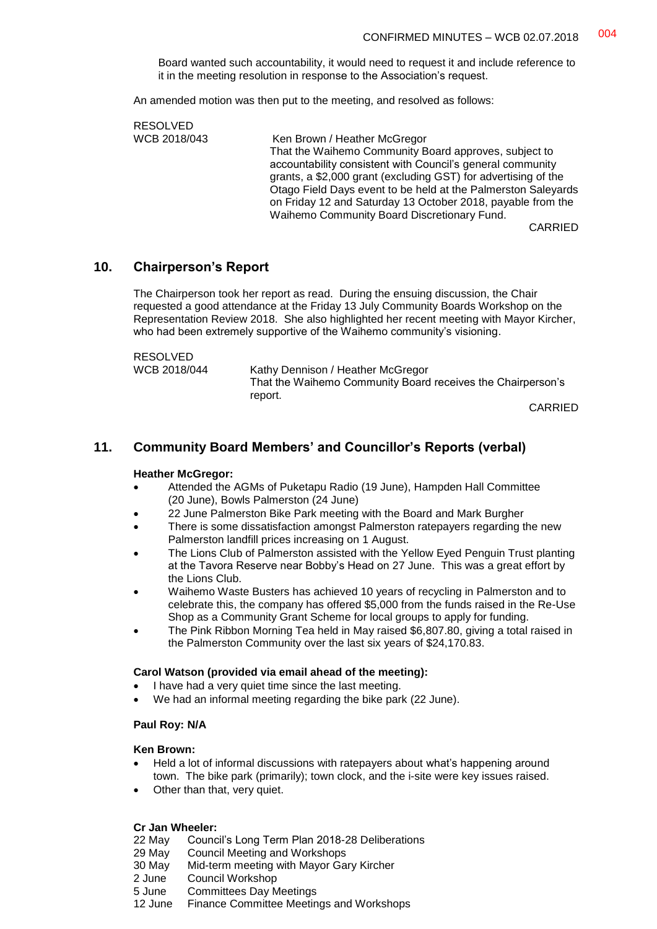Board wanted such accountability, it would need to request it and include reference to it in the meeting resolution in response to the Association's request.

An amended motion was then put to the meeting, and resolved as follows:

RESOLVED WCB 2018/043 Ken Brown / Heather McGregor That the Waihemo Community Board approves, subject to accountability consistent with Council's general community grants, a \$2,000 grant (excluding GST) for advertising of the Otago Field Days event to be held at the Palmerston Saleyards on Friday 12 and Saturday 13 October 2018, payable from the Waihemo Community Board Discretionary Fund.

CARRIED

#### **10. Chairperson's Report**

The Chairperson took her report as read. During the ensuing discussion, the Chair requested a good attendance at the Friday 13 July Community Boards Workshop on the Representation Review 2018. She also highlighted her recent meeting with Mayor Kircher, who had been extremely supportive of the Waihemo community's visioning.

RESOLVED

| .            |                                                             |
|--------------|-------------------------------------------------------------|
| WCB 2018/044 | Kathy Dennison / Heather McGregor                           |
|              | That the Waihemo Community Board receives the Chairperson's |
|              | report.                                                     |
|              | $\bigcap$                                                   |

CARRIED

### **11. Community Board Members' and Councillor's Reports (verbal)**

#### **Heather McGregor:**

- Attended the AGMs of Puketapu Radio (19 June), Hampden Hall Committee (20 June), Bowls Palmerston (24 June)
- 22 June Palmerston Bike Park meeting with the Board and Mark Burgher
- There is some dissatisfaction amongst Palmerston ratepayers regarding the new Palmerston landfill prices increasing on 1 August.
- The Lions Club of Palmerston assisted with the Yellow Eyed Penguin Trust planting at the Tavora Reserve near Bobby's Head on 27 June. This was a great effort by the Lions Club.
- Waihemo Waste Busters has achieved 10 years of recycling in Palmerston and to celebrate this, the company has offered \$5,000 from the funds raised in the Re-Use Shop as a Community Grant Scheme for local groups to apply for funding.
- The Pink Ribbon Morning Tea held in May raised \$6,807.80, giving a total raised in the Palmerston Community over the last six years of \$24,170.83.

#### **Carol Watson (provided via email ahead of the meeting):**

- I have had a very quiet time since the last meeting.
- We had an informal meeting regarding the bike park (22 June).

#### **Paul Roy: N/A**

#### **Ken Brown:**

- Held a lot of informal discussions with ratepayers about what's happening around town. The bike park (primarily); town clock, and the i-site were key issues raised.
- Other than that, very quiet.

#### **Cr Jan Wheeler:**

- 22 May Council's Long Term Plan 2018-28 Deliberations
- 29 May Council Meeting and Workshops
- 30 May Mid-term meeting with Mayor Gary Kircher
- 2 June Council Workshop
- 5 June Committees Day Meetings
- 12 June Finance Committee Meetings and Workshops